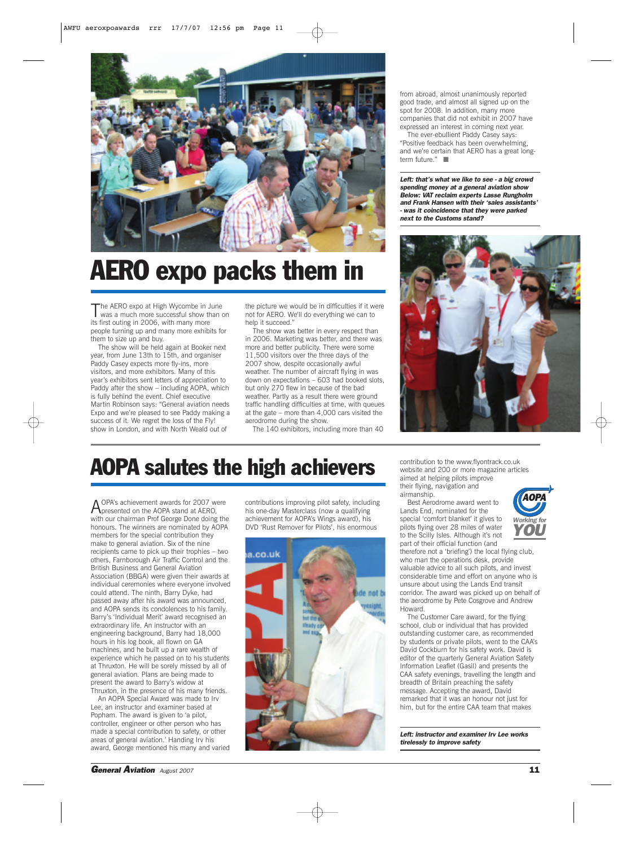

## AERO expo packs them in

The AERO expo at High Wycombe in June<br>was a much more successful show than on its first outing in 2006, with many more people turning up and many more exhibits for them to size up and buy.

The show will be held again at Booker next year, from June 13th to 15th, and organiser Paddy Casey expects more fly-ins, more visitors, and more exhibitors. Many of this year's exhibitors sent letters of appreciation to Paddy after the show – including AOPA, which is fully behind the event. Chief executive Martin Robinson says: "General aviation needs Expo and we're pleased to see Paddy making a success of it. We regret the loss of the Fly! show in London, and with North Weald out of

the picture we would be in difficulties if it were not for AERO. We'll do everything we can to help it succeed."

The show was better in every respect than in 2006. Marketing was better, and there was more and better publicity. There were some 11,500 visitors over the three days of the 2007 show, despite occasionally awful weather. The number of aircraft flying in was down on expectations – 603 had booked slots, but only 270 flew in because of the bad weather. Partly as a result there were ground traffic handling difficulties at time, with queues at the gate – more than 4,000 cars visited the aerodrome during the show.

The 140 exhibitors, including more than 40

from abroad, almost unanimously reported good trade, and almost all signed up on the spot for 2008. In addition, many more companies that did not exhibit in 2007 have expressed an interest in coming next year.

The ever-ebullient Paddy Casey says: "Positive feedback has been overwhelming, and we're certain that AERO has a great longterm future." ■

*Left: that's what we like to see - a big crowd spending money at a general aviation show Below: VAT reclaim experts Lasse Rungholm and Frank Hansen with their 'sales assistants' - was it coincidence that they were parked next to the Customs stand?*



## AOPA salutes the high achievers

AOPA's achievement awards for 2007 were presented on the AOPA stand at AERO, with our chairman Prof George Done doing the honours. The winners are nominated by AOPA members for the special contribution they make to general aviation. Six of the nine recipients came to pick up their trophies – two others, Farnborough Air Traffic Control and the British Business and General Aviation Association (BBGA) were given their awards at individual ceremonies where everyone involved could attend. The ninth, Barry Dyke, had passed away after his award was announced, and AOPA sends its condolences to his family. Barry's 'Individual Merit' award recognised an extraordinary life. An instructor with an engineering background, Barry had 18,000 hours in his log book, all flown on GA machines, and he built up a rare wealth of experience which he passed on to his students at Thruxton. He will be sorely missed by all of general aviation. Plans are being made to present the award to Barry's widow at Thruxton, in the presence of his many friends.

An AOPA Special Award was made to Irv Lee, an instructor and examiner based at Popham. The award is given to 'a pilot, controller, engineer or other person who has made a special contribution to safety, or other areas of general aviation.' Handing Irv his award, George mentioned his many and varied

contributions improving pilot safety, including his one-day Masterclass (now a qualifying achievement for AOPA's Wings award), his DVD 'Rust Remover for Pilots', his enormous



contribution to the www.flyontrack.co.uk website and 200 or more magazine articles aimed at helping pilots improve their flying, navigation and airmanship.

Best Aerodrome award went to Lands End, nominated for the special 'comfort blanket' it gives to pilots flying over 28 miles of water to the Scilly Isles. Although it's not



part of their official function (and therefore not a 'briefing') the local flying club, who man the operations desk, provide valuable advice to all such pilots, and invest considerable time and effort on anyone who is unsure about using the Lands End transit corridor. The award was picked up on behalf of the aerodrome by Pete Cosgrove and Andrew Howard.

The Customer Care award, for the flying school, club or individual that has provided outstanding customer care, as recommended by students or private pilots, went to the CAA's David Cockburn for his safety work. David is editor of the quarterly General Aviation Safety Information Leaflet (Gasil) and presents the CAA safety evenings, travelling the length and breadth of Britain preaching the safety message. Accepting the award, David remarked that it was an honour not just for him, but for the entire CAA team that makes

*Left: instructor and examiner Irv Lee works tirelessly to improve safety*